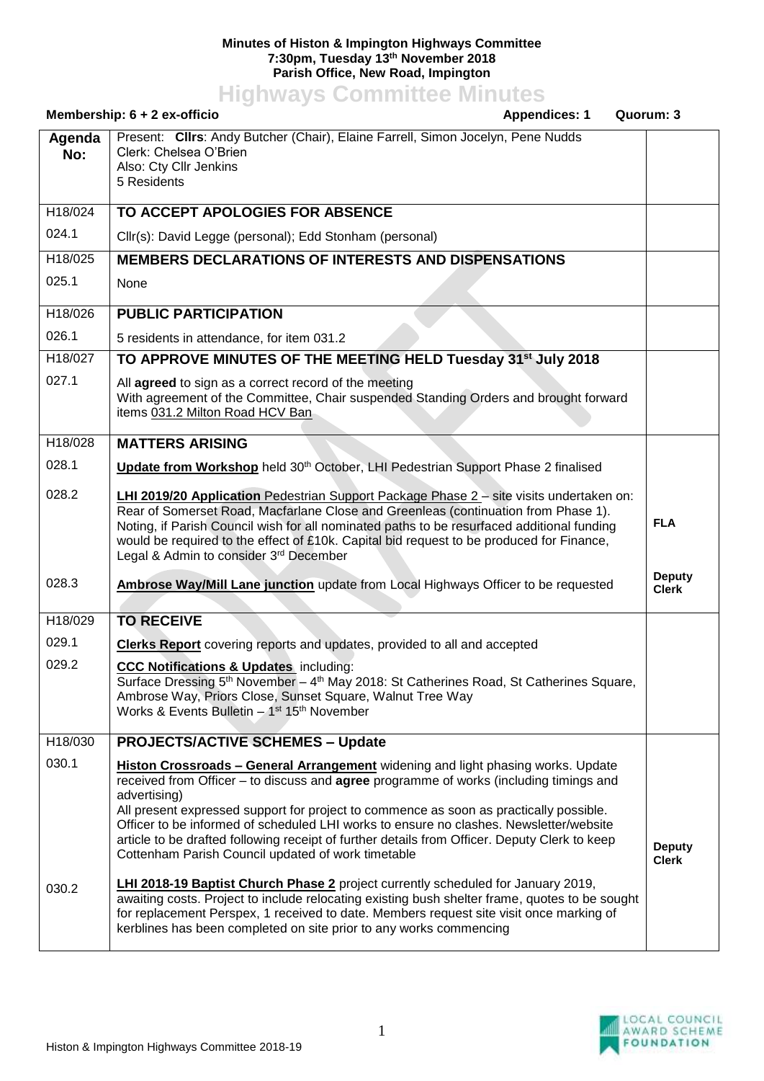## **Minutes of Histon & Impington Highways Committee 7:30pm, Tuesday 13th November 2018 Parish Office, New Road, Impington**

**Highways Committee Minutes**

| Membership: 6 + 2 ex-officio<br><b>Appendices: 1</b> |                                                                                                                                                                                                                                                                                                                                                                                                                                                                                                                                                     | Quorum: 3                     |
|------------------------------------------------------|-----------------------------------------------------------------------------------------------------------------------------------------------------------------------------------------------------------------------------------------------------------------------------------------------------------------------------------------------------------------------------------------------------------------------------------------------------------------------------------------------------------------------------------------------------|-------------------------------|
| Agenda<br>No:                                        | Present: Clirs: Andy Butcher (Chair), Elaine Farrell, Simon Jocelyn, Pene Nudds<br>Clerk: Chelsea O'Brien<br>Also: Cty Cllr Jenkins<br>5 Residents                                                                                                                                                                                                                                                                                                                                                                                                  |                               |
| H18/024                                              | TO ACCEPT APOLOGIES FOR ABSENCE                                                                                                                                                                                                                                                                                                                                                                                                                                                                                                                     |                               |
| 024.1                                                | Cllr(s): David Legge (personal); Edd Stonham (personal)                                                                                                                                                                                                                                                                                                                                                                                                                                                                                             |                               |
| $\overline{H18}$ /025                                | <b>MEMBERS DECLARATIONS OF INTERESTS AND DISPENSATIONS</b>                                                                                                                                                                                                                                                                                                                                                                                                                                                                                          |                               |
| 025.1                                                | None                                                                                                                                                                                                                                                                                                                                                                                                                                                                                                                                                |                               |
| H18/026                                              | <b>PUBLIC PARTICIPATION</b>                                                                                                                                                                                                                                                                                                                                                                                                                                                                                                                         |                               |
| 026.1                                                | 5 residents in attendance, for item 031.2                                                                                                                                                                                                                                                                                                                                                                                                                                                                                                           |                               |
| H18/027                                              | TO APPROVE MINUTES OF THE MEETING HELD Tuesday 31 <sup>st</sup> July 2018                                                                                                                                                                                                                                                                                                                                                                                                                                                                           |                               |
| 027.1                                                | All agreed to sign as a correct record of the meeting<br>With agreement of the Committee, Chair suspended Standing Orders and brought forward<br>items 031.2 Milton Road HCV Ban                                                                                                                                                                                                                                                                                                                                                                    |                               |
| H18/028                                              | <b>MATTERS ARISING</b>                                                                                                                                                                                                                                                                                                                                                                                                                                                                                                                              |                               |
| 028.1                                                | Update from Workshop held 30th October, LHI Pedestrian Support Phase 2 finalised                                                                                                                                                                                                                                                                                                                                                                                                                                                                    |                               |
| 028.2                                                | LHI 2019/20 Application Pedestrian Support Package Phase 2 - site visits undertaken on:<br>Rear of Somerset Road, Macfarlane Close and Greenleas (continuation from Phase 1).<br>Noting, if Parish Council wish for all nominated paths to be resurfaced additional funding<br>would be required to the effect of £10k. Capital bid request to be produced for Finance,<br>Legal & Admin to consider 3rd December                                                                                                                                   | <b>FLA</b>                    |
| 028.3                                                | <b>Ambrose Way/Mill Lane junction</b> update from Local Highways Officer to be requested                                                                                                                                                                                                                                                                                                                                                                                                                                                            | <b>Deputy</b><br><b>Clerk</b> |
| H18/029                                              | <b>TO RECEIVE</b>                                                                                                                                                                                                                                                                                                                                                                                                                                                                                                                                   |                               |
| 029.1                                                | <b>Clerks Report</b> covering reports and updates, provided to all and accepted                                                                                                                                                                                                                                                                                                                                                                                                                                                                     |                               |
| 029.2                                                | <b>CCC Notifications &amp; Updates</b> including:<br>Surface Dressing 5th November - 4th May 2018: St Catherines Road, St Catherines Square,<br>Ambrose Way, Priors Close, Sunset Square, Walnut Tree Way<br>Works & Events Bulletin - 1st 15th November                                                                                                                                                                                                                                                                                            |                               |
| H18/030                                              | <b>PROJECTS/ACTIVE SCHEMES - Update</b>                                                                                                                                                                                                                                                                                                                                                                                                                                                                                                             |                               |
| 030.1                                                | <b>Histon Crossroads - General Arrangement</b> widening and light phasing works. Update<br>received from Officer – to discuss and <b>agree</b> programme of works (including timings and<br>advertising)<br>All present expressed support for project to commence as soon as practically possible.<br>Officer to be informed of scheduled LHI works to ensure no clashes. Newsletter/website<br>article to be drafted following receipt of further details from Officer. Deputy Clerk to keep<br>Cottenham Parish Council updated of work timetable | <b>Deputy</b><br><b>Clerk</b> |
| 030.2                                                | LHI 2018-19 Baptist Church Phase 2 project currently scheduled for January 2019,<br>awaiting costs. Project to include relocating existing bush shelter frame, quotes to be sought<br>for replacement Perspex, 1 received to date. Members request site visit once marking of<br>kerblines has been completed on site prior to any works commencing                                                                                                                                                                                                 |                               |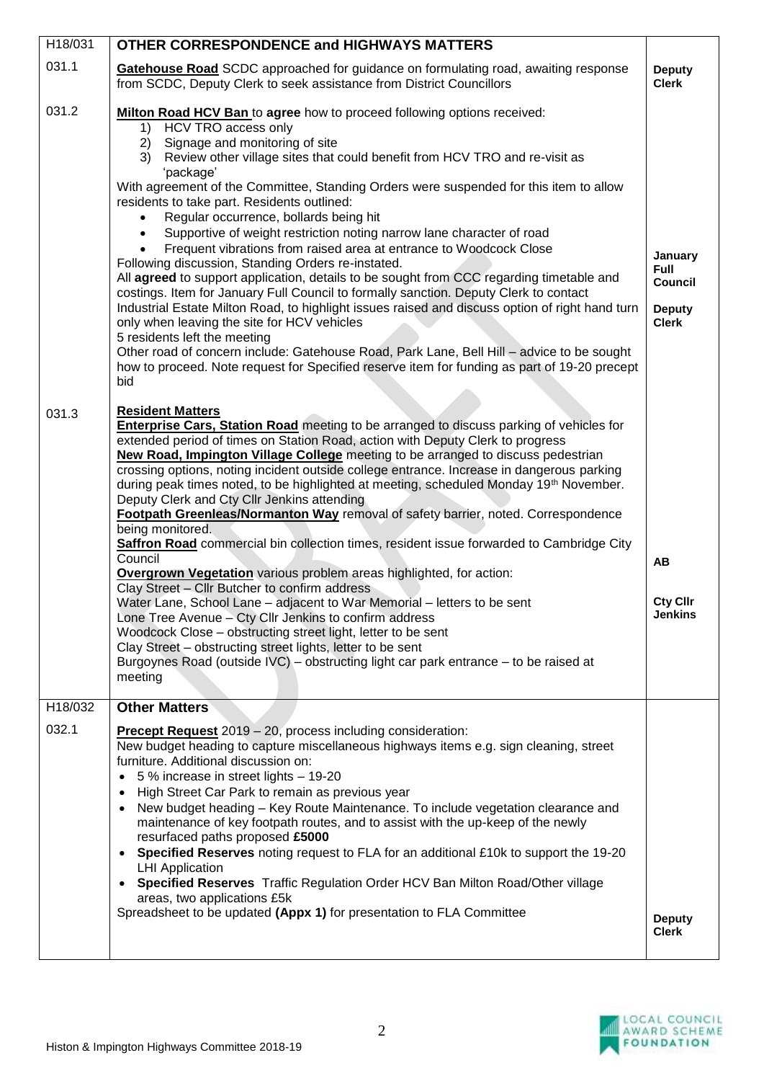| H18/031              | <b>OTHER CORRESPONDENCE and HIGHWAYS MATTERS</b>                                                                                                                                                                                                                                                                                                                                                                                                                                                                                                                                                                                                                                                                                                                                                                                                                                                                                                                                                                                                                                                                                                                                                                                                                       |                                                                           |
|----------------------|------------------------------------------------------------------------------------------------------------------------------------------------------------------------------------------------------------------------------------------------------------------------------------------------------------------------------------------------------------------------------------------------------------------------------------------------------------------------------------------------------------------------------------------------------------------------------------------------------------------------------------------------------------------------------------------------------------------------------------------------------------------------------------------------------------------------------------------------------------------------------------------------------------------------------------------------------------------------------------------------------------------------------------------------------------------------------------------------------------------------------------------------------------------------------------------------------------------------------------------------------------------------|---------------------------------------------------------------------------|
| 031.1                | Gatehouse Road SCDC approached for guidance on formulating road, awaiting response<br>from SCDC, Deputy Clerk to seek assistance from District Councillors                                                                                                                                                                                                                                                                                                                                                                                                                                                                                                                                                                                                                                                                                                                                                                                                                                                                                                                                                                                                                                                                                                             | <b>Deputy</b><br><b>Clerk</b>                                             |
| 031.2                | Milton Road HCV Ban to agree how to proceed following options received:<br>HCV TRO access only<br>1)<br>Signage and monitoring of site<br>2)<br>3)<br>Review other village sites that could benefit from HCV TRO and re-visit as<br>'package'<br>With agreement of the Committee, Standing Orders were suspended for this item to allow<br>residents to take part. Residents outlined:<br>Regular occurrence, bollards being hit<br>Supportive of weight restriction noting narrow lane character of road<br>Frequent vibrations from raised area at entrance to Woodcock Close<br>Following discussion, Standing Orders re-instated.<br>All agreed to support application, details to be sought from CCC regarding timetable and<br>costings. Item for January Full Council to formally sanction. Deputy Clerk to contact<br>Industrial Estate Milton Road, to highlight issues raised and discuss option of right hand turn<br>only when leaving the site for HCV vehicles<br>5 residents left the meeting<br>Other road of concern include: Gatehouse Road, Park Lane, Bell Hill - advice to be sought<br>how to proceed. Note request for Specified reserve item for funding as part of 19-20 precept<br>bid                                                       | January<br><b>Full</b><br><b>Council</b><br><b>Deputy</b><br><b>Clerk</b> |
| 031.3                | <b>Resident Matters</b><br><b>Enterprise Cars, Station Road</b> meeting to be arranged to discuss parking of vehicles for<br>extended period of times on Station Road, action with Deputy Clerk to progress<br>New Road, Impington Village College meeting to be arranged to discuss pedestrian<br>crossing options, noting incident outside college entrance. Increase in dangerous parking<br>during peak times noted, to be highlighted at meeting, scheduled Monday 19 <sup>th</sup> November.<br>Deputy Clerk and Cty Cllr Jenkins attending<br>Footpath Greenleas/Normanton Way removal of safety barrier, noted. Correspondence<br>being monitored.<br>Saffron Road commercial bin collection times, resident issue forwarded to Cambridge City<br>Council<br><b>Overgrown Vegetation</b> various problem areas highlighted, for action:<br>Clay Street - Cllr Butcher to confirm address<br>Water Lane, School Lane - adjacent to War Memorial - letters to be sent<br>Lone Tree Avenue - Cty Cllr Jenkins to confirm address<br>Woodcock Close - obstructing street light, letter to be sent<br>Clay Street - obstructing street lights, letter to be sent<br>Burgoynes Road (outside IVC) – obstructing light car park entrance – to be raised at<br>meeting | AB<br><b>Cty Cllr</b><br>Jenkins                                          |
| H <sub>18</sub> /032 | <b>Other Matters</b>                                                                                                                                                                                                                                                                                                                                                                                                                                                                                                                                                                                                                                                                                                                                                                                                                                                                                                                                                                                                                                                                                                                                                                                                                                                   |                                                                           |
| 032.1                | <b>Precept Request</b> 2019 - 20, process including consideration:<br>New budget heading to capture miscellaneous highways items e.g. sign cleaning, street<br>furniture. Additional discussion on:<br>5 % increase in street lights - 19-20<br>High Street Car Park to remain as previous year<br>$\bullet$<br>New budget heading - Key Route Maintenance. To include vegetation clearance and<br>$\bullet$<br>maintenance of key footpath routes, and to assist with the up-keep of the newly<br>resurfaced paths proposed £5000<br>Specified Reserves noting request to FLA for an additional £10k to support the 19-20<br>$\bullet$<br><b>LHI</b> Application<br>Specified Reserves Traffic Regulation Order HCV Ban Milton Road/Other village<br>$\bullet$<br>areas, two applications £5k                                                                                                                                                                                                                                                                                                                                                                                                                                                                         |                                                                           |
|                      | Spreadsheet to be updated (Appx 1) for presentation to FLA Committee                                                                                                                                                                                                                                                                                                                                                                                                                                                                                                                                                                                                                                                                                                                                                                                                                                                                                                                                                                                                                                                                                                                                                                                                   | <b>Deputy</b><br><b>Clerk</b>                                             |